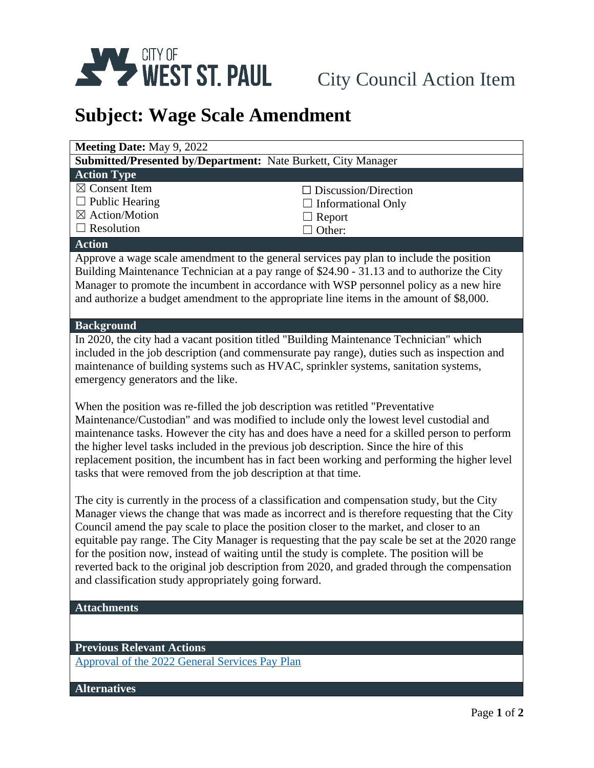

## **Subject: Wage Scale Amendment**

| <b>Meeting Date: May 9, 2022</b>                                                                                                                                                                                                                                                                                                                                                                                                                                                                                                                                                                                                                     |                             |  |
|------------------------------------------------------------------------------------------------------------------------------------------------------------------------------------------------------------------------------------------------------------------------------------------------------------------------------------------------------------------------------------------------------------------------------------------------------------------------------------------------------------------------------------------------------------------------------------------------------------------------------------------------------|-----------------------------|--|
| Submitted/Presented by/Department: Nate Burkett, City Manager                                                                                                                                                                                                                                                                                                                                                                                                                                                                                                                                                                                        |                             |  |
| <b>Action Type</b>                                                                                                                                                                                                                                                                                                                                                                                                                                                                                                                                                                                                                                   |                             |  |
| $\boxtimes$ Consent Item                                                                                                                                                                                                                                                                                                                                                                                                                                                                                                                                                                                                                             | $\Box$ Discussion/Direction |  |
| $\Box$ Public Hearing                                                                                                                                                                                                                                                                                                                                                                                                                                                                                                                                                                                                                                | $\Box$ Informational Only   |  |
| $\boxtimes$ Action/Motion                                                                                                                                                                                                                                                                                                                                                                                                                                                                                                                                                                                                                            | $\Box$ Report               |  |
| $\Box$ Resolution                                                                                                                                                                                                                                                                                                                                                                                                                                                                                                                                                                                                                                    | Other:                      |  |
| <b>Action</b>                                                                                                                                                                                                                                                                                                                                                                                                                                                                                                                                                                                                                                        |                             |  |
| Approve a wage scale amendment to the general services pay plan to include the position<br>Building Maintenance Technician at a pay range of \$24.90 - 31.13 and to authorize the City<br>Manager to promote the incumbent in accordance with WSP personnel policy as a new hire<br>and authorize a budget amendment to the appropriate line items in the amount of \$8,000.                                                                                                                                                                                                                                                                         |                             |  |
| <b>Background</b>                                                                                                                                                                                                                                                                                                                                                                                                                                                                                                                                                                                                                                    |                             |  |
| In 2020, the city had a vacant position titled "Building Maintenance Technician" which<br>included in the job description (and commensurate pay range), duties such as inspection and<br>maintenance of building systems such as HVAC, sprinkler systems, sanitation systems,<br>emergency generators and the like.                                                                                                                                                                                                                                                                                                                                  |                             |  |
| When the position was re-filled the job description was retitled "Preventative"                                                                                                                                                                                                                                                                                                                                                                                                                                                                                                                                                                      |                             |  |
| Maintenance/Custodian" and was modified to include only the lowest level custodial and<br>maintenance tasks. However the city has and does have a need for a skilled person to perform<br>the higher level tasks included in the previous job description. Since the hire of this<br>replacement position, the incumbent has in fact been working and performing the higher level<br>tasks that were removed from the job description at that time.                                                                                                                                                                                                  |                             |  |
| The city is currently in the process of a classification and compensation study, but the City<br>Manager views the change that was made as incorrect and is therefore requesting that the City<br>Council amend the pay scale to place the position closer to the market, and closer to an<br>equitable pay range. The City Manager is requesting that the pay scale be set at the 2020 range<br>for the position now, instead of waiting until the study is complete. The position will be<br>reverted back to the original job description from 2020, and graded through the compensation<br>and classification study appropriately going forward. |                             |  |
| <b>Attachments</b>                                                                                                                                                                                                                                                                                                                                                                                                                                                                                                                                                                                                                                   |                             |  |
|                                                                                                                                                                                                                                                                                                                                                                                                                                                                                                                                                                                                                                                      |                             |  |
| <b>Previous Relevant Actions</b>                                                                                                                                                                                                                                                                                                                                                                                                                                                                                                                                                                                                                     |                             |  |
| Approval of the 2022 General Services Pay Plan                                                                                                                                                                                                                                                                                                                                                                                                                                                                                                                                                                                                       |                             |  |
| <b>Alternatives</b>                                                                                                                                                                                                                                                                                                                                                                                                                                                                                                                                                                                                                                  |                             |  |